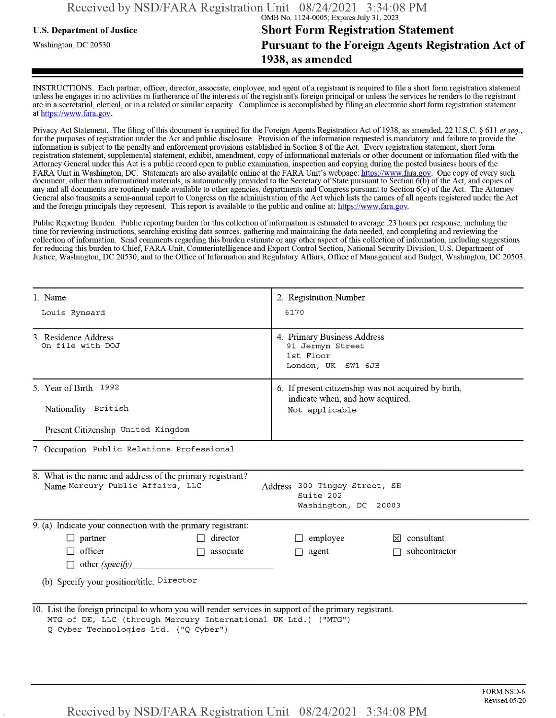## **u.s.** Department ofJustice **Short Form Registration Statement** Washington, dc <sup>20530</sup> **Pursuant to the Foreign Agents Registration Act of 1938, as amended**

INSTRUCTIONS. Each partner, officer, director, associate, employee, and agent of a registrant is required to file a short form registration statement unless he engages in no activities in furtherance ofthe interests ofthe registrant's foreign principal or unless the services he renders to the registrant are in a secretarial, clerical, or in a related or similar capacity. Compliance is accomplished by filing an electronic short form registration statement at https://www.fara.gov.

Privacy Act Statement. The filing of this document is required for the Foreign Agents Registration Act of 1938, as amended, 22 U.S.C. § 611 et seq., for the purposes ofregistration under the Act and public disclosure. Provision ofthe information requested is mandatory, and failure to provide the information is subject to the penalty and enforcement provisions established in Section 8 ofthe Act. Every registration statement, short form registration statement, supplemental statement, exhibit, amendment, copy ofinformational materials or other document or information filed with the Attorney General under this Act is a public record open to public examination, inspection and copying during the posted business hours ofthe FARA Unit in Washington, DC. Statements are also available online at the FARA Unit's webpage: https://www.fara.gov. One copy of every such document, other than informational materials, is automatically provided to the Secretary of State pursuant to Section 6(b) ofthe Act, and copies of any and all documents are routinely made available to other agencies, departments and Congress pursuant to Section 6(c) ofthe Act. The Attorney General also transmits a semi-annual report to Congress on the administration ofthe Act which lists the names of all agents registered under the Act and the foreign principals they represent. This report is available to the public and online at: https://www.fara.gov.

Public Reporting Burden. Public reporting burden for this collection ofinformation is estimated to average .23 hours per response, including the time for reviewing instructions, searching existing data sources, gathering and maintaining the data needed, and completing and reviewing the collection of information. Send comments regarding this burden estimate or any other aspect of this collection of information, including suggestions for reducing this burden to Chief, FARA Unit, Counterintelligence and Export Control Section, National Security Division, U.S. Department of Justice, Washington, DC 20530; and to the Office of Information and Regulatory Affairs, Office of Management and Budget, Washington, DC 20503.

| 1. Name                                                                                                                                                                                                          | 2. Registration Number                                                             |  |  |  |
|------------------------------------------------------------------------------------------------------------------------------------------------------------------------------------------------------------------|------------------------------------------------------------------------------------|--|--|--|
| Louis Rynsard                                                                                                                                                                                                    | 6170                                                                               |  |  |  |
| 3. Residence Address<br>On file with DOJ                                                                                                                                                                         | 4. Primary Business Address<br>91 Jermyn Street<br>1st Floor<br>London, UK SW1 6JB |  |  |  |
| 5. Year of Birth 1992                                                                                                                                                                                            | 6. If present citizenship was not acquired by birth,                               |  |  |  |
| Nationality British                                                                                                                                                                                              | indicate when, and how acquired.<br>Not applicable                                 |  |  |  |
| Present Citizenship United Kingdom                                                                                                                                                                               |                                                                                    |  |  |  |
| 7. Occupation Public Relations Professional                                                                                                                                                                      |                                                                                    |  |  |  |
| 8. What is the name and address of the primary registrant?<br>Name Mercury Public Affairs, LLC<br>Address 300 Tingey Street, SE<br>Suite 202<br>Washington, DC 20003                                             |                                                                                    |  |  |  |
| 9. (a) Indicate your connection with the primary registrant:                                                                                                                                                     |                                                                                    |  |  |  |
| $\Box$ partner<br>director                                                                                                                                                                                       | employee<br>$\boxtimes$ consultant                                                 |  |  |  |
| $\Box$ officer<br>associate<br>П                                                                                                                                                                                 | subcontractor<br>agent                                                             |  |  |  |
| $\Box$ other (specify)                                                                                                                                                                                           |                                                                                    |  |  |  |
| (b) Specify your position/title: Director                                                                                                                                                                        |                                                                                    |  |  |  |
| 10. List the foreign principal to whom you will render services in support of the primary registrant.<br>MTG of DE, LLC (through Mercury International UK Ltd.) ("MTG")<br>Q Cyber Technologies Ltd. ("Q Cyber") |                                                                                    |  |  |  |